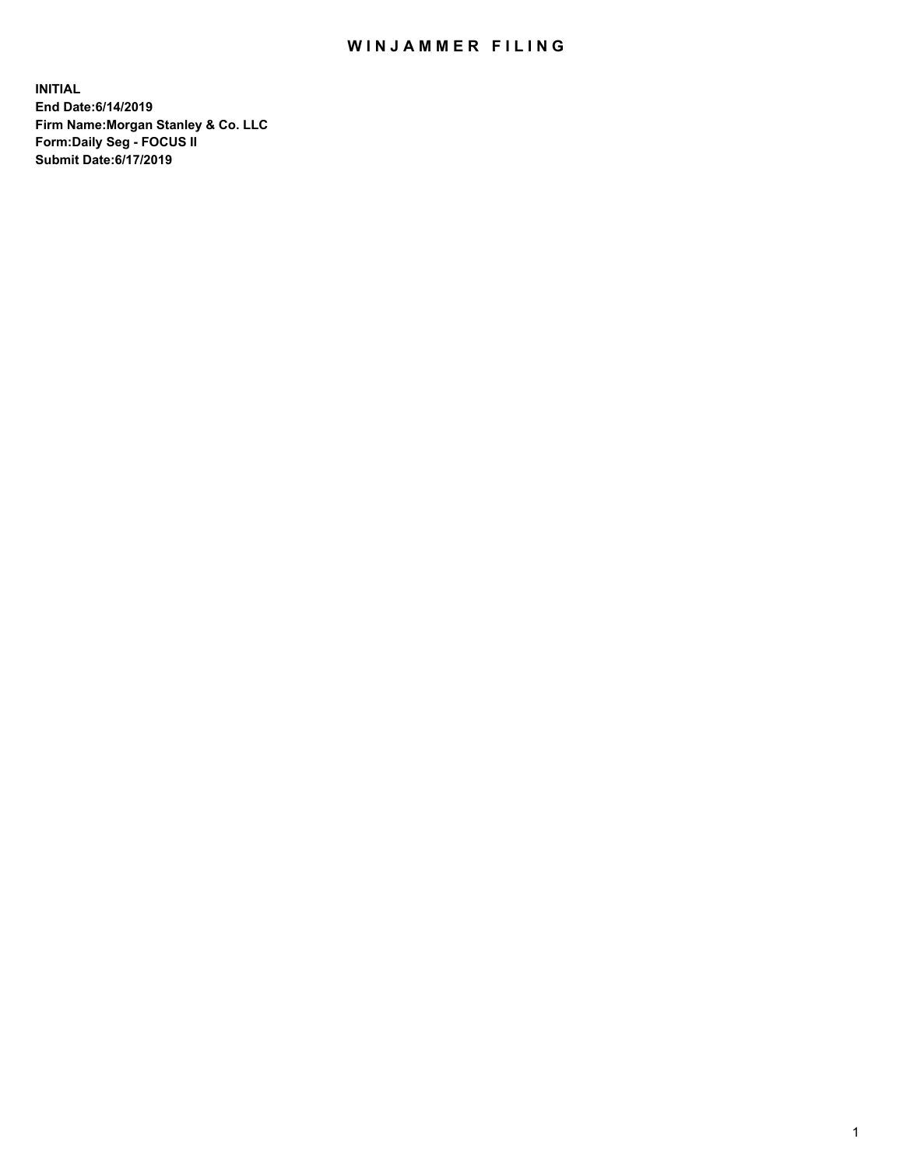## WIN JAMMER FILING

**INITIAL End Date:6/14/2019 Firm Name:Morgan Stanley & Co. LLC Form:Daily Seg - FOCUS II Submit Date:6/17/2019**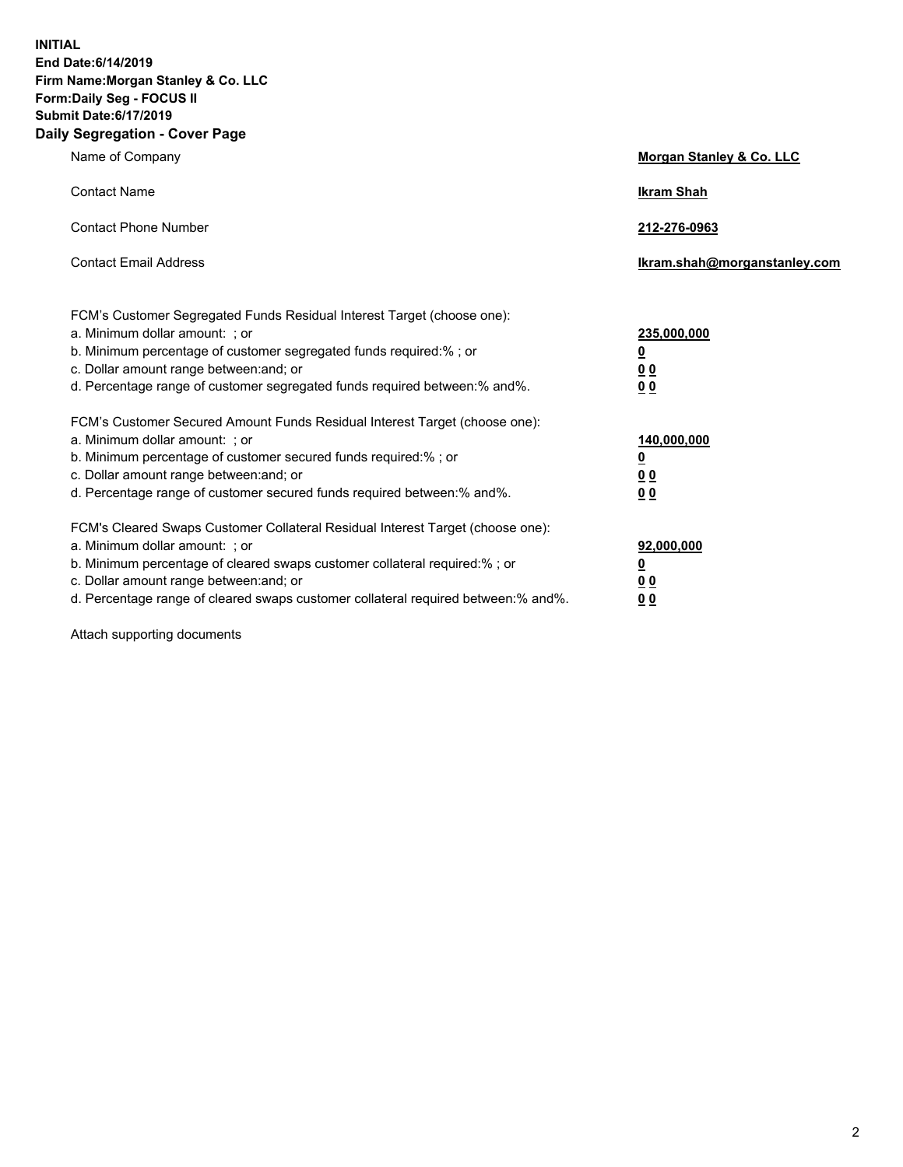**INITIAL End Date:6/14/2019 Firm Name:Morgan Stanley & Co. LLC Form:Daily Seg - FOCUS II Submit Date:6/17/2019 Daily Segregation - Cover Page**

| Name of Company                                                                                                                                                                                                                                                                                                                                                                                          | Morgan Stanley & Co. LLC                                                |
|----------------------------------------------------------------------------------------------------------------------------------------------------------------------------------------------------------------------------------------------------------------------------------------------------------------------------------------------------------------------------------------------------------|-------------------------------------------------------------------------|
| <b>Contact Name</b>                                                                                                                                                                                                                                                                                                                                                                                      | <b>Ikram Shah</b>                                                       |
| <b>Contact Phone Number</b>                                                                                                                                                                                                                                                                                                                                                                              | 212-276-0963                                                            |
| <b>Contact Email Address</b>                                                                                                                                                                                                                                                                                                                                                                             | lkram.shah@morganstanley.com                                            |
| FCM's Customer Segregated Funds Residual Interest Target (choose one):<br>a. Minimum dollar amount: ; or<br>b. Minimum percentage of customer segregated funds required:% ; or<br>c. Dollar amount range between: and; or<br>d. Percentage range of customer segregated funds required between: % and %.                                                                                                 | 235,000,000<br><u>0</u><br><u>00</u>                                    |
| FCM's Customer Secured Amount Funds Residual Interest Target (choose one):<br>a. Minimum dollar amount: ; or<br>b. Minimum percentage of customer secured funds required:%; or<br>c. Dollar amount range between: and; or                                                                                                                                                                                | 0 <sup>0</sup><br>140,000,000<br><u>0</u><br>0 <sub>0</sub>             |
| d. Percentage range of customer secured funds required between:% and%.<br>FCM's Cleared Swaps Customer Collateral Residual Interest Target (choose one):<br>a. Minimum dollar amount: ; or<br>b. Minimum percentage of cleared swaps customer collateral required:% ; or<br>c. Dollar amount range between: and; or<br>d. Percentage range of cleared swaps customer collateral required between:% and%. | 0 <sub>0</sub><br>92,000,000<br><u>0</u><br><u>00</u><br>0 <sup>0</sup> |

Attach supporting documents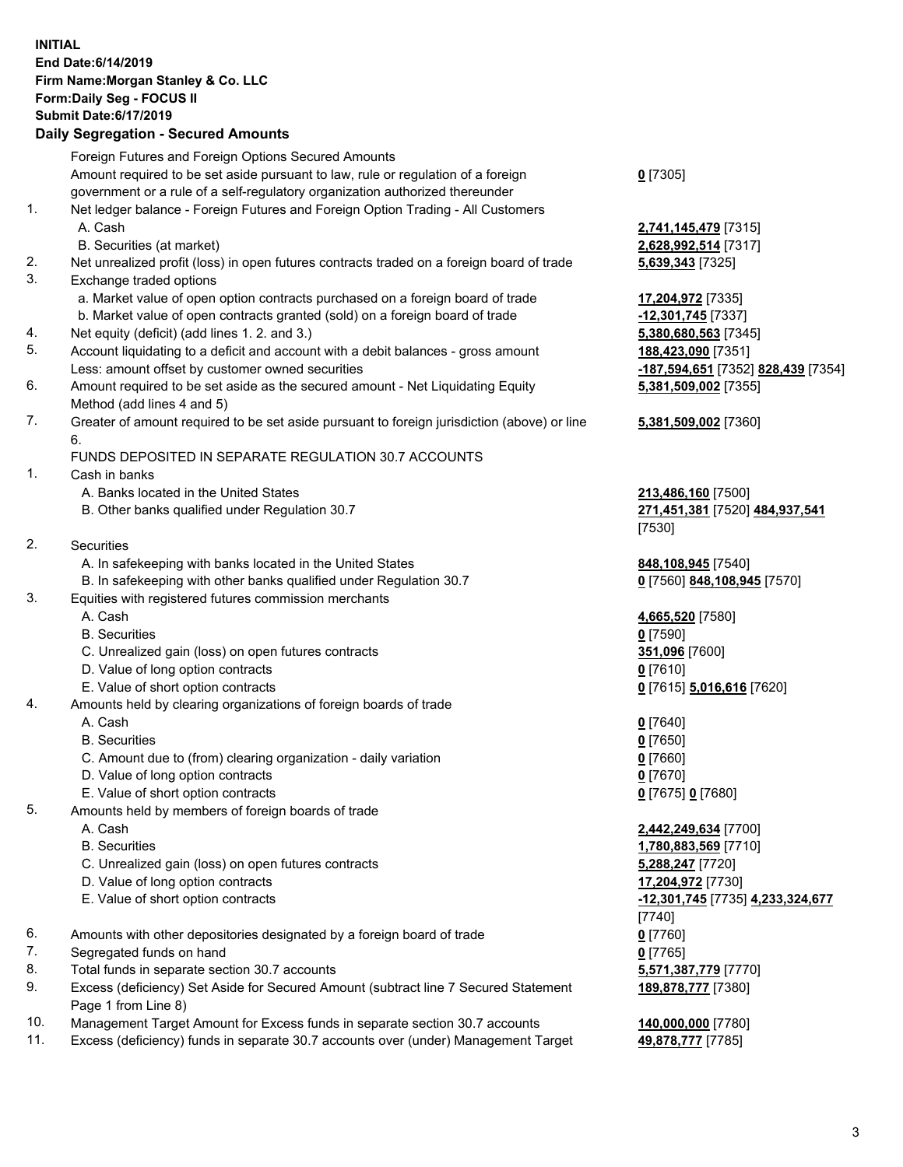## **INITIAL End Date:6/14/2019 Firm Name:Morgan Stanley & Co. LLC Form:Daily Seg - FOCUS II Submit Date:6/17/2019 Daily Segregation - Secured Amounts**

Foreign Futures and Foreign Options Secured Amounts Amount required to be set aside pursuant to law, rule or regulation of a foreign government or a rule of a self-regulatory organization authorized thereunder 1. Net ledger balance - Foreign Futures and Foreign Option Trading - All Customers A. Cash **2,741,145,479** [7315] B. Securities (at market) **2,628,992,514** [7317] 2. Net unrealized profit (loss) in open futures contracts traded on a foreign board of trade **5,639,343** [7325] 3. Exchange traded options a. Market value of open option contracts purchased on a foreign board of trade **17,204,972** [7335] b. Market value of open contracts granted (sold) on a foreign board of trade **-12,301,745** [7337] 4. Net equity (deficit) (add lines 1. 2. and 3.) **5,380,680,563** [7345] 5. Account liquidating to a deficit and account with a debit balances - gross amount **188,423,090** [7351] Less: amount offset by customer owned securities **-187,594,651** [7352] **828,439** [7354] 6. Amount required to be set aside as the secured amount - Net Liquidating Equity Method (add lines 4 and 5) 7. Greater of amount required to be set aside pursuant to foreign jurisdiction (above) or line 6. FUNDS DEPOSITED IN SEPARATE REGULATION 30.7 ACCOUNTS 1. Cash in banks A. Banks located in the United States **213,486,160** [7500] B. Other banks qualified under Regulation 30.7 **271,451,381** [7520] **484,937,541** [7530] 2. Securities A. In safekeeping with banks located in the United States **848,108,945** [7540] B. In safekeeping with other banks qualified under Regulation 30.7 **0** [7560] **848,108,945** [7570] 3. Equities with registered futures commission merchants A. Cash **4,665,520** [7580] B. Securities **0** [7590] C. Unrealized gain (loss) on open futures contracts **351,096** [7600] D. Value of long option contracts **0** [7610] E. Value of short option contracts **0** [7615] **5,016,616** [7620] 4. Amounts held by clearing organizations of foreign boards of trade A. Cash **0** [7640] B. Securities **0** [7650] C. Amount due to (from) clearing organization - daily variation **0** [7660] D. Value of long option contracts **0** [7670] E. Value of short option contracts **0** [7675] **0** [7680] 5. Amounts held by members of foreign boards of trade A. Cash **2,442,249,634** [7700] B. Securities **1,780,883,569** [7710] C. Unrealized gain (loss) on open futures contracts **5,288,247** [7720] D. Value of long option contracts **17,204,972** [7730] E. Value of short option contracts **-12,301,745** [7735] **4,233,324,677** [7740] 6. Amounts with other depositories designated by a foreign board of trade **0** [7760] 7. Segregated funds on hand **0** [7765] 8. Total funds in separate section 30.7 accounts **5,571,387,779** [7770] 9. Excess (deficiency) Set Aside for Secured Amount (subtract line 7 Secured Statement Page 1 from Line 8)

- 10. Management Target Amount for Excess funds in separate section 30.7 accounts **140,000,000** [7780]
- 11. Excess (deficiency) funds in separate 30.7 accounts over (under) Management Target **49,878,777** [7785]

**0** [7305]

**5,381,509,002** [7355]

## **5,381,509,002** [7360]

**189,878,777** [7380]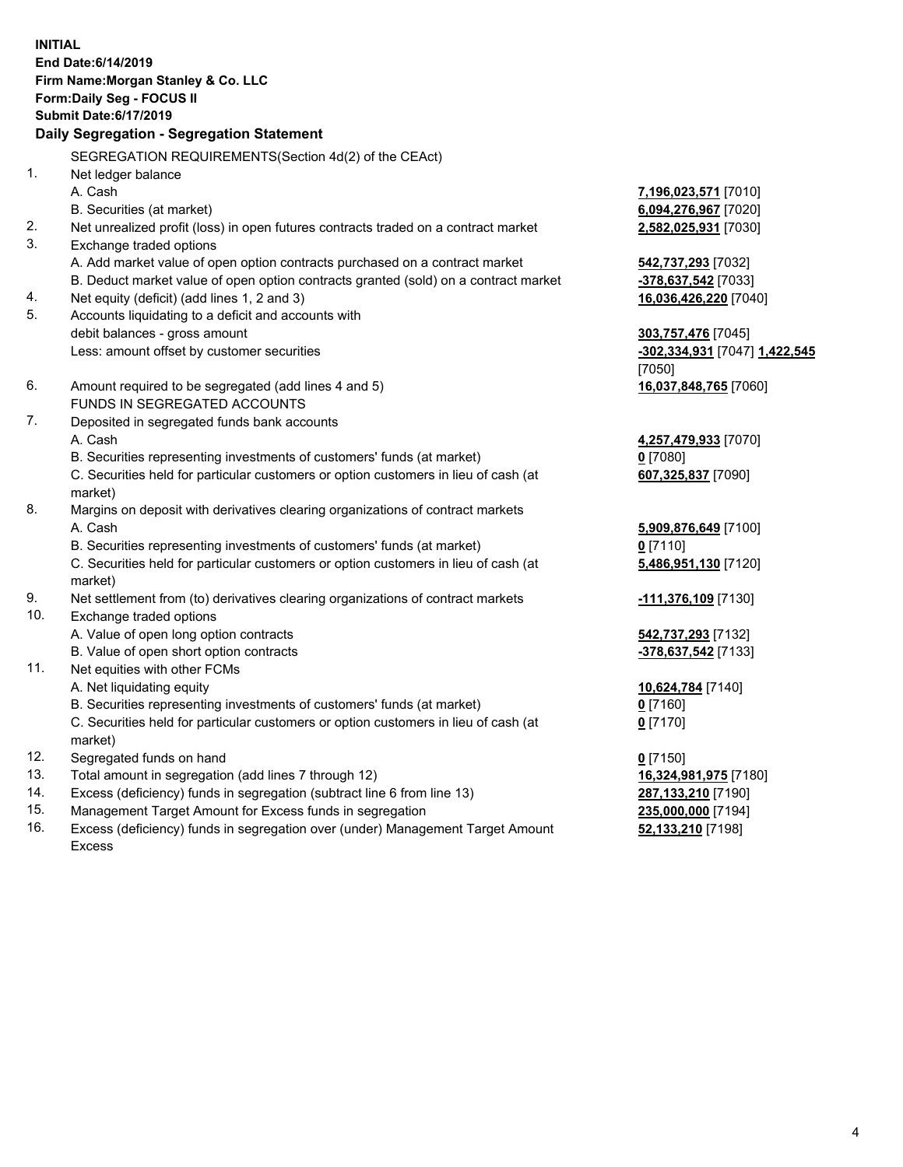**INITIAL End Date:6/14/2019 Firm Name:Morgan Stanley & Co. LLC Form:Daily Seg - FOCUS II Submit Date:6/17/2019 Daily Segregation - Segregation Statement** SEGREGATION REQUIREMENTS(Section 4d(2) of the CEAct) 1. Net ledger balance A. Cash **7,196,023,571** [7010] B. Securities (at market) **6,094,276,967** [7020] 2. Net unrealized profit (loss) in open futures contracts traded on a contract market **2,582,025,931** [7030] 3. Exchange traded options A. Add market value of open option contracts purchased on a contract market **542,737,293** [7032] B. Deduct market value of open option contracts granted (sold) on a contract market **-378,637,542** [7033] 4. Net equity (deficit) (add lines 1, 2 and 3) **16,036,426,220** [7040] 5. Accounts liquidating to a deficit and accounts with debit balances - gross amount **303,757,476** [7045] Less: amount offset by customer securities **-302,334,931** [7047] **1,422,545** [7050] 6. Amount required to be segregated (add lines 4 and 5) **16,037,848,765** [7060] FUNDS IN SEGREGATED ACCOUNTS 7. Deposited in segregated funds bank accounts A. Cash **4,257,479,933** [7070] B. Securities representing investments of customers' funds (at market) **0** [7080] C. Securities held for particular customers or option customers in lieu of cash (at market) **607,325,837** [7090] 8. Margins on deposit with derivatives clearing organizations of contract markets A. Cash **5,909,876,649** [7100] B. Securities representing investments of customers' funds (at market) **0** [7110] C. Securities held for particular customers or option customers in lieu of cash (at market) **5,486,951,130** [7120] 9. Net settlement from (to) derivatives clearing organizations of contract markets **-111,376,109** [7130] 10. Exchange traded options A. Value of open long option contracts **542,737,293** [7132] B. Value of open short option contracts **-378,637,542** [7133] 11. Net equities with other FCMs A. Net liquidating equity **10,624,784** [7140] B. Securities representing investments of customers' funds (at market) **0** [7160] C. Securities held for particular customers or option customers in lieu of cash (at market) **0** [7170] 12. Segregated funds on hand **0** [7150] 13. Total amount in segregation (add lines 7 through 12) **16,324,981,975** [7180] 14. Excess (deficiency) funds in segregation (subtract line 6 from line 13) **287,133,210** [7190]

- 15. Management Target Amount for Excess funds in segregation **235,000,000** [7194]
- 16. Excess (deficiency) funds in segregation over (under) Management Target Amount Excess

**52,133,210** [7198]